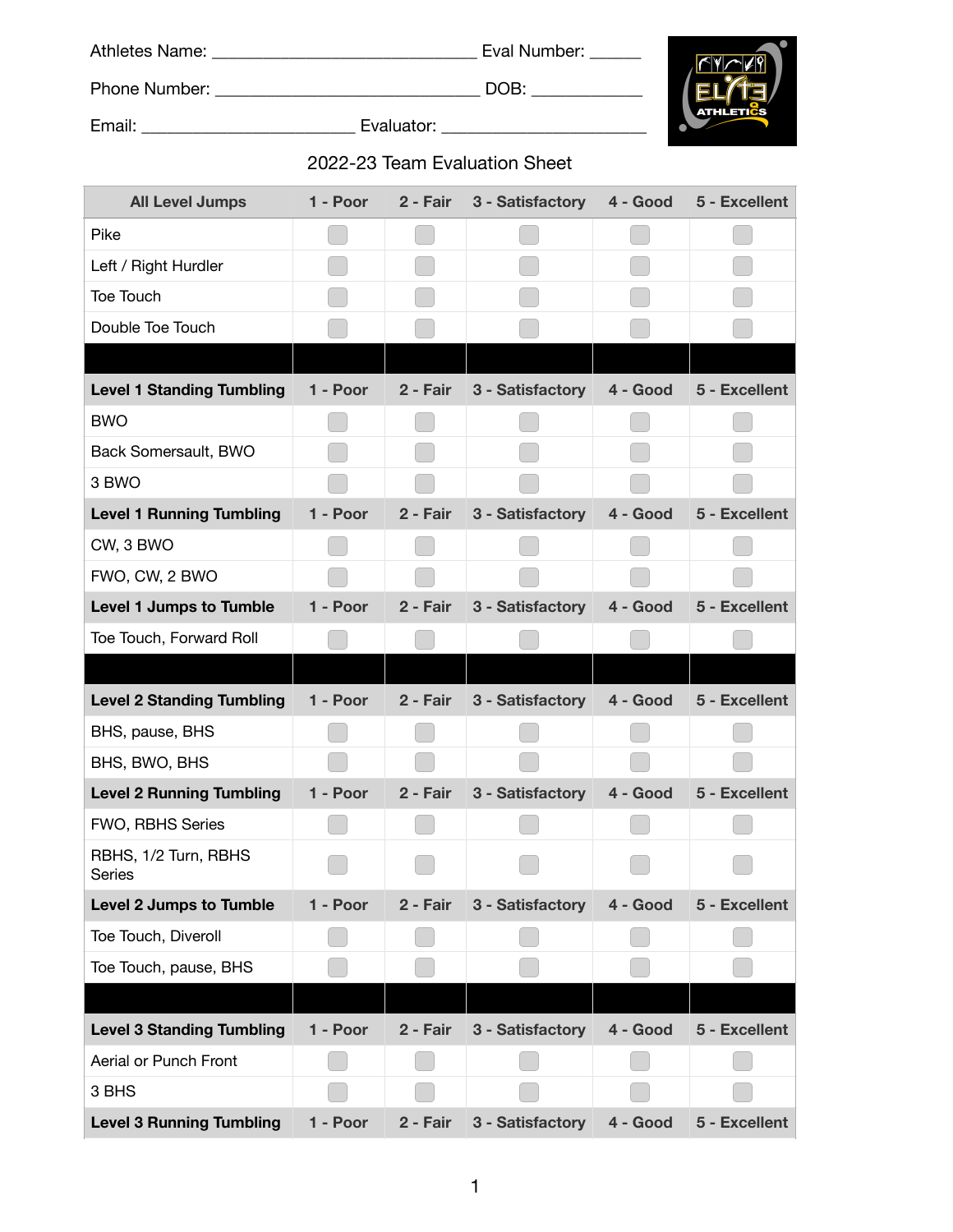| 2022-23 Team Evaluation Sheet         |          |          |                                                           |          |                        |  |  |  |
|---------------------------------------|----------|----------|-----------------------------------------------------------|----------|------------------------|--|--|--|
| <b>All Level Jumps</b>                |          |          | 1 - Poor 2 - Fair 3 - Satisfactory 4 - Good 5 - Excellent |          |                        |  |  |  |
| Pike                                  |          |          |                                                           |          |                        |  |  |  |
| Left / Right Hurdler                  |          |          |                                                           |          |                        |  |  |  |
| Toe Touch                             |          |          |                                                           |          |                        |  |  |  |
| Double Toe Touch                      |          |          |                                                           |          |                        |  |  |  |
|                                       |          |          |                                                           |          |                        |  |  |  |
| <b>Level 1 Standing Tumbling</b>      | 1 - Poor | 2 - Fair | 3 - Satisfactory                                          | 4 - Good | 5 - Excellent          |  |  |  |
| <b>BWO</b>                            |          |          |                                                           |          |                        |  |  |  |
| Back Somersault, BWO                  |          |          |                                                           |          |                        |  |  |  |
| 3 BWO                                 |          |          |                                                           |          |                        |  |  |  |
| <b>Level 1 Running Tumbling</b>       |          |          | 1 - Poor 2 - Fair 3 - Satisfactory                        |          | 4 - Good 5 - Excellent |  |  |  |
| CW, 3 BWO                             |          |          |                                                           |          |                        |  |  |  |
| FWO, CW, 2 BWO                        |          |          |                                                           |          |                        |  |  |  |
| Level 1 Jumps to Tumble               |          |          | 1 - Poor 2 - Fair 3 - Satisfactory                        |          | 4 - Good 5 - Excellent |  |  |  |
| Toe Touch, Forward Roll               |          |          |                                                           |          |                        |  |  |  |
|                                       |          |          |                                                           |          |                        |  |  |  |
| <b>Level 2 Standing Tumbling</b>      |          |          | 1 - Poor 2 - Fair 3 - Satisfactory 4 - Good               |          | 5 - Excellent          |  |  |  |
| BHS, pause, BHS                       |          |          |                                                           |          |                        |  |  |  |
| BHS, BWO, BHS                         |          |          |                                                           |          |                        |  |  |  |
| <b>Level 2 Running Tumbling</b>       | 1 - Poor | 2 - Fair | 3 - Satisfactory                                          | 4 - Good | 5 - Excellent          |  |  |  |
| FWO, RBHS Series                      |          |          |                                                           |          |                        |  |  |  |
| RBHS, 1/2 Turn, RBHS<br><b>Series</b> |          |          |                                                           |          |                        |  |  |  |
| <b>Level 2 Jumps to Tumble</b>        | 1 - Poor | 2 - Fair | 3 - Satisfactory                                          | 4 - Good | 5 - Excellent          |  |  |  |
| Toe Touch, Diveroll                   |          |          |                                                           |          |                        |  |  |  |
| Toe Touch, pause, BHS                 |          |          |                                                           |          |                        |  |  |  |
|                                       |          |          |                                                           |          |                        |  |  |  |
| <b>Level 3 Standing Tumbling</b>      | 1 - Poor | 2 - Fair | 3 - Satisfactory                                          | 4 - Good | 5 - Excellent          |  |  |  |
| Aerial or Punch Front                 |          |          |                                                           |          |                        |  |  |  |
| 3 BHS                                 |          |          |                                                           |          |                        |  |  |  |
| <b>Level 3 Running Tumbling</b>       | 1 - Poor | 2 - Fair | 3 - Satisfactory                                          | 4 - Good | 5 - Excellent          |  |  |  |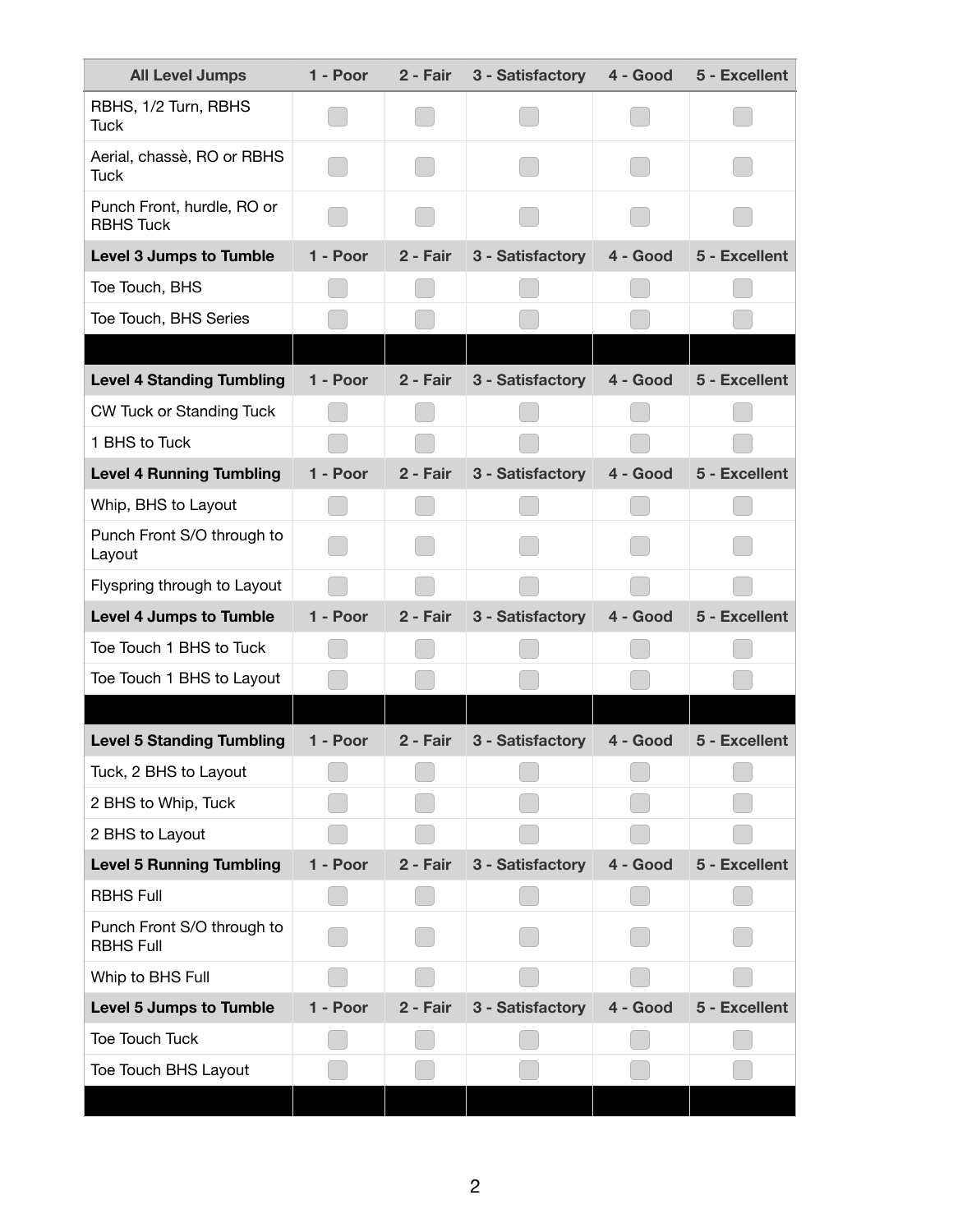| <b>All Level Jumps</b>                         | 1 - Poor | 2 - Fair | 3 - Satisfactory | 4 - Good | 5 - Excellent |
|------------------------------------------------|----------|----------|------------------|----------|---------------|
| RBHS, 1/2 Turn, RBHS<br><b>Tuck</b>            |          |          |                  |          |               |
| Aerial, chassè, RO or RBHS<br><b>Tuck</b>      |          |          |                  |          |               |
| Punch Front, hurdle, RO or<br><b>RBHS Tuck</b> |          |          |                  |          |               |
| <b>Level 3 Jumps to Tumble</b>                 | 1 - Poor | 2 - Fair | 3 - Satisfactory | 4 - Good | 5 - Excellent |
| Toe Touch, BHS                                 |          |          |                  |          |               |
| Toe Touch, BHS Series                          |          |          |                  |          |               |
|                                                |          |          |                  |          |               |
| <b>Level 4 Standing Tumbling</b>               | 1 - Poor | 2 - Fair | 3 - Satisfactory | 4 - Good | 5 - Excellent |
| <b>CW Tuck or Standing Tuck</b>                |          |          |                  |          |               |
| 1 BHS to Tuck                                  |          |          |                  |          |               |
| <b>Level 4 Running Tumbling</b>                | 1 - Poor | 2 - Fair | 3 - Satisfactory | 4 - Good | 5 - Excellent |
| Whip, BHS to Layout                            |          |          |                  |          |               |
| Punch Front S/O through to<br>Layout           |          |          |                  |          |               |
| Flyspring through to Layout                    |          |          |                  |          |               |
| <b>Level 4 Jumps to Tumble</b>                 | 1 - Poor | 2 - Fair | 3 - Satisfactory | 4 - Good | 5 - Excellent |
| Toe Touch 1 BHS to Tuck                        |          |          |                  |          |               |
| Toe Touch 1 BHS to Layout                      |          |          |                  |          |               |
| <b>Level 5 Standing Tumbling</b>               | 1 - Poor | 2 - Fair | 3 - Satisfactory | 4 - Good | 5 - Excellent |
| Tuck, 2 BHS to Layout                          |          |          |                  |          |               |
| 2 BHS to Whip, Tuck                            |          |          |                  |          |               |
| 2 BHS to Layout                                |          |          |                  |          |               |
| <b>Level 5 Running Tumbling</b>                | 1 - Poor | 2 - Fair | 3 - Satisfactory | 4 - Good | 5 - Excellent |
| <b>RBHS Full</b>                               |          |          |                  |          |               |
| Punch Front S/O through to<br><b>RBHS Full</b> |          |          |                  |          |               |
| Whip to BHS Full                               |          |          |                  |          |               |
| <b>Level 5 Jumps to Tumble</b>                 | 1 - Poor | 2 - Fair | 3 - Satisfactory | 4 - Good | 5 - Excellent |
| Toe Touch Tuck                                 |          |          |                  |          |               |
| Toe Touch BHS Layout                           |          |          |                  |          |               |
|                                                |          |          |                  |          |               |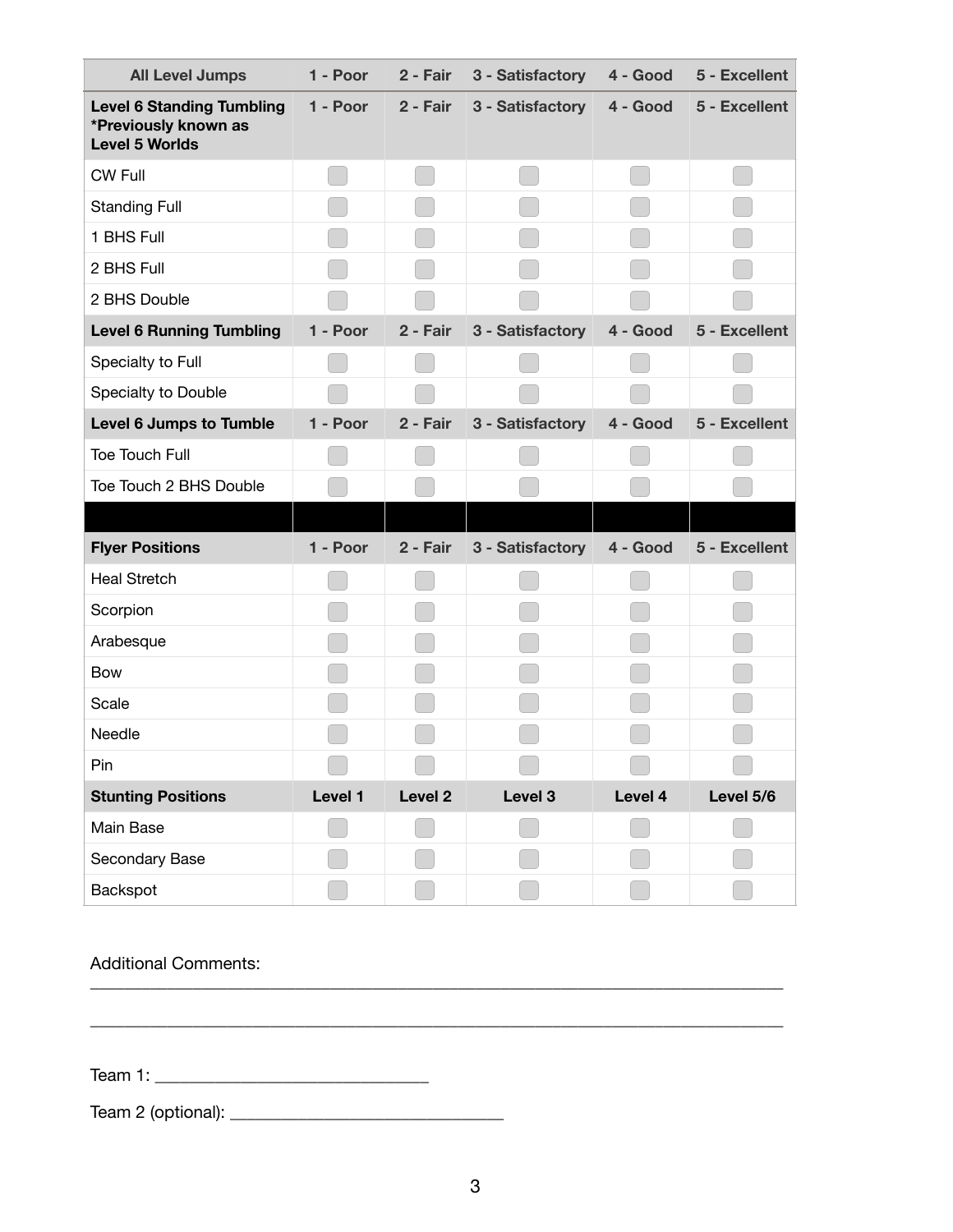| <b>All Level Jumps</b>                                                            | 1 - Poor | 2 - Fair           | 3 - Satisfactory | 4 - Good | 5 - Excellent |
|-----------------------------------------------------------------------------------|----------|--------------------|------------------|----------|---------------|
| <b>Level 6 Standing Tumbling</b><br>*Previously known as<br><b>Level 5 Worlds</b> | 1 - Poor | 2 - Fair           | 3 - Satisfactory | 4 - Good | 5 - Excellent |
| <b>CW Full</b>                                                                    |          |                    |                  |          |               |
| <b>Standing Full</b>                                                              |          |                    |                  |          |               |
| 1 BHS Full                                                                        |          |                    |                  |          |               |
| 2 BHS Full                                                                        |          |                    |                  |          |               |
| 2 BHS Double                                                                      |          |                    |                  |          |               |
| <b>Level 6 Running Tumbling</b>                                                   | 1 - Poor | 2 - Fair           | 3 - Satisfactory | 4 - Good | 5 - Excellent |
| Specialty to Full                                                                 |          |                    |                  |          |               |
| Specialty to Double                                                               |          |                    |                  |          |               |
| <b>Level 6 Jumps to Tumble</b>                                                    | 1 - Poor | 2 - Fair           | 3 - Satisfactory | 4 - Good | 5 - Excellent |
| <b>Toe Touch Full</b>                                                             |          |                    |                  |          |               |
| Toe Touch 2 BHS Double                                                            |          |                    |                  |          |               |
|                                                                                   |          |                    |                  |          |               |
| <b>Flyer Positions</b>                                                            | 1 - Poor | 2 - Fair           | 3 - Satisfactory | 4 - Good | 5 - Excellent |
| <b>Heal Stretch</b>                                                               |          |                    |                  |          |               |
| Scorpion                                                                          |          |                    |                  |          |               |
| Arabesque                                                                         |          |                    |                  |          |               |
| <b>Bow</b>                                                                        |          |                    |                  |          |               |
| Scale                                                                             |          |                    |                  |          |               |
| Needle                                                                            |          |                    |                  |          |               |
| Pin                                                                               |          |                    |                  |          |               |
| <b>Stunting Positions</b>                                                         | Level 1  | Level <sub>2</sub> | Level 3          | Level 4  | Level 5/6     |
| Main Base                                                                         |          |                    |                  |          |               |
| Secondary Base                                                                    |          |                    |                  |          |               |
| Backspot                                                                          |          |                    |                  |          |               |

Additional Comments:

Team 1: \_\_\_\_\_\_\_\_\_\_\_\_\_\_\_\_\_\_\_\_\_\_\_\_\_\_\_\_\_\_\_\_

Team 2 (optional): \_\_\_\_\_\_\_\_\_\_\_\_\_\_\_\_\_\_\_\_\_\_\_\_\_\_\_\_\_\_\_\_

\_\_\_\_\_\_\_\_\_\_\_\_\_\_\_\_\_\_\_\_\_\_\_\_\_\_\_\_\_\_\_\_\_\_\_\_\_\_\_\_\_\_\_\_\_\_\_\_\_\_\_\_\_\_\_\_\_\_\_\_\_\_\_\_\_\_\_\_\_\_\_\_\_\_\_\_\_\_\_\_\_

\_\_\_\_\_\_\_\_\_\_\_\_\_\_\_\_\_\_\_\_\_\_\_\_\_\_\_\_\_\_\_\_\_\_\_\_\_\_\_\_\_\_\_\_\_\_\_\_\_\_\_\_\_\_\_\_\_\_\_\_\_\_\_\_\_\_\_\_\_\_\_\_\_\_\_\_\_\_\_\_\_